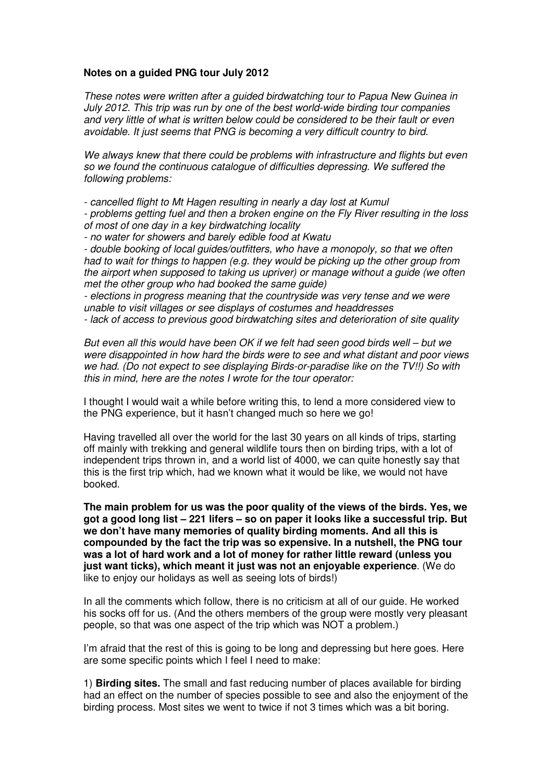## **Notes on a guided PNG tour July 2012**

These notes were written after a guided birdwatching tour to Papua New Guinea in July 2012. This trip was run by one of the best world-wide birding tour companies and very little of what is written below could be considered to be their fault or even avoidable. It just seems that PNG is becoming a very difficult country to bird.

We always knew that there could be problems with infrastructure and flights but even so we found the continuous catalogue of difficulties depressing. We suffered the following problems:

- cancelled flight to Mt Hagen resulting in nearly a day lost at Kumul

- problems getting fuel and then a broken engine on the Fly River resulting in the loss of most of one day in a key birdwatching locality

- no water for showers and barely edible food at Kwatu

- double booking of local guides/outfitters, who have a monopoly, so that we often had to wait for things to happen (e.g. they would be picking up the other group from the airport when supposed to taking us upriver) or manage without a guide (we often met the other group who had booked the same guide)

- elections in progress meaning that the countryside was very tense and we were unable to visit villages or see displays of costumes and headdresses

- lack of access to previous good birdwatching sites and deterioration of site quality

But even all this would have been OK if we felt had seen good birds well – but we were disappointed in how hard the birds were to see and what distant and poor views we had. (Do not expect to see displaying Birds-or-paradise like on the TV!!) So with this in mind, here are the notes I wrote for the tour operator:

I thought I would wait a while before writing this, to lend a more considered view to the PNG experience, but it hasn't changed much so here we go!

Having travelled all over the world for the last 30 years on all kinds of trips, starting off mainly with trekking and general wildlife tours then on birding trips, with a lot of independent trips thrown in, and a world list of 4000, we can quite honestly say that this is the first trip which, had we known what it would be like, we would not have booked.

**The main problem for us was the poor quality of the views of the birds. Yes, we got a good long list – 221 lifers – so on paper it looks like a successful trip. But we don't have many memories of quality birding moments. And all this is compounded by the fact the trip was so expensive. In a nutshell, the PNG tour was a lot of hard work and a lot of money for rather little reward (unless you just want ticks), which meant it just was not an enjoyable experience**. (We do like to enjoy our holidays as well as seeing lots of birds!)

In all the comments which follow, there is no criticism at all of our guide. He worked his socks off for us. (And the others members of the group were mostly very pleasant people, so that was one aspect of the trip which was NOT a problem.)

I'm afraid that the rest of this is going to be long and depressing but here goes. Here are some specific points which I feel I need to make:

1) **Birding sites.** The small and fast reducing number of places available for birding had an effect on the number of species possible to see and also the enjoyment of the birding process. Most sites we went to twice if not 3 times which was a bit boring.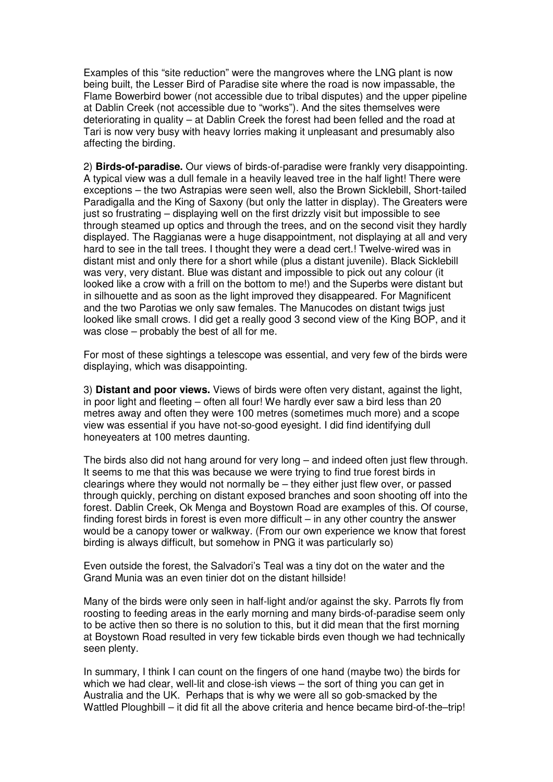Examples of this "site reduction" were the mangroves where the LNG plant is now being built, the Lesser Bird of Paradise site where the road is now impassable, the Flame Bowerbird bower (not accessible due to tribal disputes) and the upper pipeline at Dablin Creek (not accessible due to "works"). And the sites themselves were deteriorating in quality – at Dablin Creek the forest had been felled and the road at Tari is now very busy with heavy lorries making it unpleasant and presumably also affecting the birding.

2) **Birds-of-paradise.** Our views of birds-of-paradise were frankly very disappointing. A typical view was a dull female in a heavily leaved tree in the half light! There were exceptions – the two Astrapias were seen well, also the Brown Sicklebill, Short-tailed Paradigalla and the King of Saxony (but only the latter in display). The Greaters were just so frustrating – displaying well on the first drizzly visit but impossible to see through steamed up optics and through the trees, and on the second visit they hardly displayed. The Raggianas were a huge disappointment, not displaying at all and very hard to see in the tall trees. I thought they were a dead cert.! Twelve-wired was in distant mist and only there for a short while (plus a distant juvenile). Black Sicklebill was very, very distant. Blue was distant and impossible to pick out any colour (it looked like a crow with a frill on the bottom to me!) and the Superbs were distant but in silhouette and as soon as the light improved they disappeared. For Magnificent and the two Parotias we only saw females. The Manucodes on distant twigs just looked like small crows. I did get a really good 3 second view of the King BOP, and it was close – probably the best of all for me.

For most of these sightings a telescope was essential, and very few of the birds were displaying, which was disappointing.

3) **Distant and poor views.** Views of birds were often very distant, against the light, in poor light and fleeting – often all four! We hardly ever saw a bird less than 20 metres away and often they were 100 metres (sometimes much more) and a scope view was essential if you have not-so-good eyesight. I did find identifying dull honeyeaters at 100 metres daunting.

The birds also did not hang around for very long – and indeed often just flew through. It seems to me that this was because we were trying to find true forest birds in clearings where they would not normally be – they either just flew over, or passed through quickly, perching on distant exposed branches and soon shooting off into the forest. Dablin Creek, Ok Menga and Boystown Road are examples of this. Of course, finding forest birds in forest is even more difficult – in any other country the answer would be a canopy tower or walkway. (From our own experience we know that forest birding is always difficult, but somehow in PNG it was particularly so)

Even outside the forest, the Salvadori's Teal was a tiny dot on the water and the Grand Munia was an even tinier dot on the distant hillside!

Many of the birds were only seen in half-light and/or against the sky. Parrots fly from roosting to feeding areas in the early morning and many birds-of-paradise seem only to be active then so there is no solution to this, but it did mean that the first morning at Boystown Road resulted in very few tickable birds even though we had technically seen plenty.

In summary, I think I can count on the fingers of one hand (maybe two) the birds for which we had clear, well-lit and close-ish views – the sort of thing you can get in Australia and the UK. Perhaps that is why we were all so gob-smacked by the Wattled Ploughbill – it did fit all the above criteria and hence became bird-of-the–trip!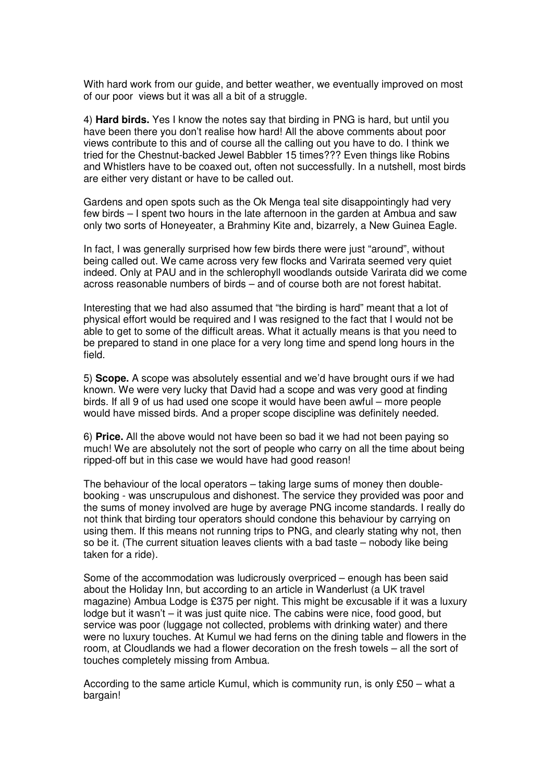With hard work from our guide, and better weather, we eventually improved on most of our poor views but it was all a bit of a struggle.

4) **Hard birds.** Yes I know the notes say that birding in PNG is hard, but until you have been there you don't realise how hard! All the above comments about poor views contribute to this and of course all the calling out you have to do. I think we tried for the Chestnut-backed Jewel Babbler 15 times??? Even things like Robins and Whistlers have to be coaxed out, often not successfully. In a nutshell, most birds are either very distant or have to be called out.

Gardens and open spots such as the Ok Menga teal site disappointingly had very few birds – I spent two hours in the late afternoon in the garden at Ambua and saw only two sorts of Honeyeater, a Brahminy Kite and, bizarrely, a New Guinea Eagle.

In fact, I was generally surprised how few birds there were just "around", without being called out. We came across very few flocks and Varirata seemed very quiet indeed. Only at PAU and in the schlerophyll woodlands outside Varirata did we come across reasonable numbers of birds – and of course both are not forest habitat.

Interesting that we had also assumed that "the birding is hard" meant that a lot of physical effort would be required and I was resigned to the fact that I would not be able to get to some of the difficult areas. What it actually means is that you need to be prepared to stand in one place for a very long time and spend long hours in the field.

5) **Scope.** A scope was absolutely essential and we'd have brought ours if we had known. We were very lucky that David had a scope and was very good at finding birds. If all 9 of us had used one scope it would have been awful – more people would have missed birds. And a proper scope discipline was definitely needed.

6) **Price.** All the above would not have been so bad it we had not been paying so much! We are absolutely not the sort of people who carry on all the time about being ripped-off but in this case we would have had good reason!

The behaviour of the local operators – taking large sums of money then doublebooking - was unscrupulous and dishonest. The service they provided was poor and the sums of money involved are huge by average PNG income standards. I really do not think that birding tour operators should condone this behaviour by carrying on using them. If this means not running trips to PNG, and clearly stating why not, then so be it. (The current situation leaves clients with a bad taste – nobody like being taken for a ride).

Some of the accommodation was ludicrously overpriced – enough has been said about the Holiday Inn, but according to an article in Wanderlust (a UK travel magazine) Ambua Lodge is £375 per night. This might be excusable if it was a luxury lodge but it wasn't – it was just quite nice. The cabins were nice, food good, but service was poor (luggage not collected, problems with drinking water) and there were no luxury touches. At Kumul we had ferns on the dining table and flowers in the room, at Cloudlands we had a flower decoration on the fresh towels – all the sort of touches completely missing from Ambua.

According to the same article Kumul, which is community run, is only £50 – what a bargain!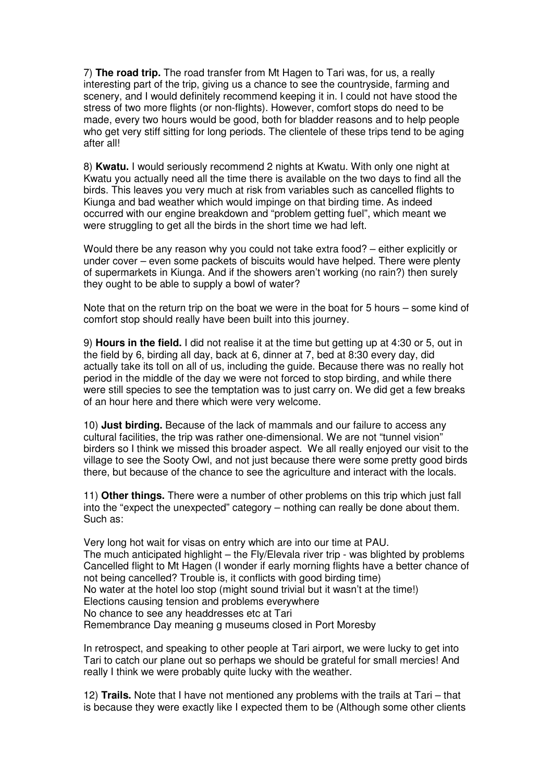7) **The road trip.** The road transfer from Mt Hagen to Tari was, for us, a really interesting part of the trip, giving us a chance to see the countryside, farming and scenery, and I would definitely recommend keeping it in. I could not have stood the stress of two more flights (or non-flights). However, comfort stops do need to be made, every two hours would be good, both for bladder reasons and to help people who get very stiff sitting for long periods. The clientele of these trips tend to be aging after all!

8) **Kwatu.** I would seriously recommend 2 nights at Kwatu. With only one night at Kwatu you actually need all the time there is available on the two days to find all the birds. This leaves you very much at risk from variables such as cancelled flights to Kiunga and bad weather which would impinge on that birding time. As indeed occurred with our engine breakdown and "problem getting fuel", which meant we were struggling to get all the birds in the short time we had left.

Would there be any reason why you could not take extra food? – either explicitly or under cover – even some packets of biscuits would have helped. There were plenty of supermarkets in Kiunga. And if the showers aren't working (no rain?) then surely they ought to be able to supply a bowl of water?

Note that on the return trip on the boat we were in the boat for 5 hours – some kind of comfort stop should really have been built into this journey.

9) **Hours in the field.** I did not realise it at the time but getting up at 4:30 or 5, out in the field by 6, birding all day, back at 6, dinner at 7, bed at 8:30 every day, did actually take its toll on all of us, including the guide. Because there was no really hot period in the middle of the day we were not forced to stop birding, and while there were still species to see the temptation was to just carry on. We did get a few breaks of an hour here and there which were very welcome.

10) **Just birding.** Because of the lack of mammals and our failure to access any cultural facilities, the trip was rather one-dimensional. We are not "tunnel vision" birders so I think we missed this broader aspect. We all really enjoyed our visit to the village to see the Sooty Owl, and not just because there were some pretty good birds there, but because of the chance to see the agriculture and interact with the locals.

11) **Other things.** There were a number of other problems on this trip which just fall into the "expect the unexpected" category – nothing can really be done about them. Such as:

Very long hot wait for visas on entry which are into our time at PAU. The much anticipated highlight – the Fly/Elevala river trip - was blighted by problems Cancelled flight to Mt Hagen (I wonder if early morning flights have a better chance of not being cancelled? Trouble is, it conflicts with good birding time) No water at the hotel loo stop (might sound trivial but it wasn't at the time!) Elections causing tension and problems everywhere No chance to see any headdresses etc at Tari Remembrance Day meaning g museums closed in Port Moresby

In retrospect, and speaking to other people at Tari airport, we were lucky to get into Tari to catch our plane out so perhaps we should be grateful for small mercies! And really I think we were probably quite lucky with the weather.

12) **Trails.** Note that I have not mentioned any problems with the trails at Tari – that is because they were exactly like I expected them to be (Although some other clients